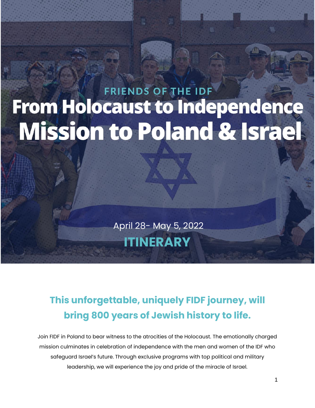# **FRIENDS OF THE IDF From Holocaust to Independence Mission to Poland & Israel**

April 28- May 5, 2022 **ITINERARY**

# **This unforgettable, uniquely FIDF journey, will bring 800 years of Jewish history to life.**

Join FIDF in Poland to bear witness to the atrocities of the Holocaust. The emotionally charged mission culminates in celebration of independence with the men and women of the IDF who safeguard Israel's future. Through exclusive programs with top political and military leadership, we will experience the joy and pride of the miracle of Israel.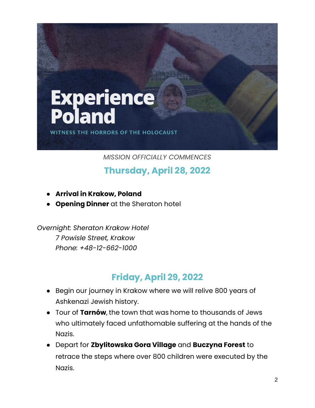

*MISSION OFFICIALLY COMMENCES*

**Thursday, April 28, 2022**

- **Arrival in Krakow, Poland**
- **Opening Dinner** at the Sheraton hotel

*Overnight: Sheraton Krakow Hotel 7 Powisle Street, Krakow Phone: +48-12-662-1000*

#### **Friday, April 29, 2022**

- Begin our journey in Krakow where we will relive 800 years of Ashkenazi Jewish history.
- Tour of **Tarnów**, the town that was home to thousands of Jews who ultimately faced unfathomable suffering at the hands of the Nazis.
- Depart for **Zbylitowska Gora Village** and **Buczyna Forest** to retrace the steps where over 800 children were executed by the Nazis.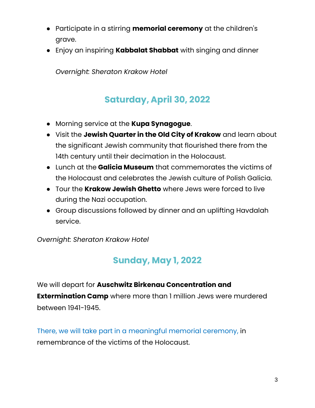- Participate in a stirring **memorial ceremony** at the children's grave.
- Enjoy an inspiring **Kabbalat Shabbat** with singing and dinner

*Overnight: Sheraton Krakow Hotel*

### **Saturday, April 30, 2022**

- Morning service at the **Kupa Synagogue**.
- Visit the **Jewish Quarter in the Old City of Krakow** and learn about the significant Jewish community that flourished there from the 14th century until their decimation in the Holocaust.
- Lunch at the **Galicia Museum** that commemorates the victims of the Holocaust and celebrates the Jewish culture of Polish Galicia.
- Tour the **Krakow Jewish Ghetto** where Jews were forced to live during the Nazi occupation.
- Group discussions followed by dinner and an uplifting Havdalah service.

*Overnight: Sheraton Krakow Hotel*

## **Sunday, May 1, 2022**

We will depart for **Auschwitz Birkenau Concentration and Extermination Camp** where more than 1 million Jews were murdered between 1941-1945.

There, we will take part in a meaningful memorial ceremony, in remembrance of the victims of the Holocaust.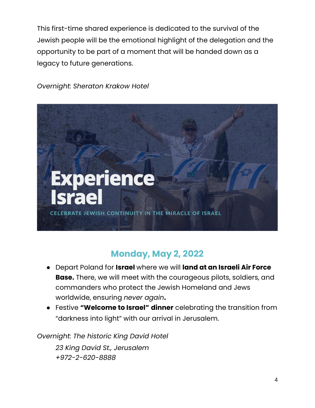This first-time shared experience is dedicated to the survival of the Jewish people will be the emotional highlight of the delegation and the opportunity to be part of a moment that will be handed down as a legacy to future generations.



*Overnight: Sheraton Krakow Hotel*

#### **Monday, May 2, 2022**

- Depart Poland for **Israel** where we will **land at an Israeli Air Force Base.** There, we will meet with the courageous pilots, soldiers, and commanders who protect the Jewish Homeland and Jews worldwide, ensuring *never again***.**
- Festive **"Welcome to Israel" dinner** celebrating the transition from "darkness into light" with our arrival in Jerusalem.

*Overnight: The historic King David Hotel*

*23 King David St., Jerusalem +972-2-620-8888*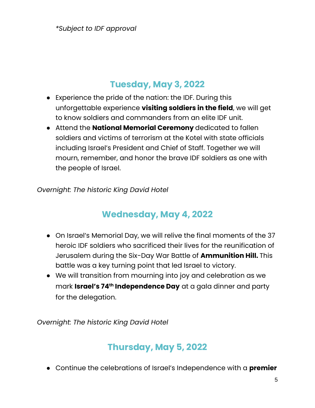*\*Subject to IDF approval*

#### **Tuesday, May 3, 2022**

- Experience the pride of the nation: the IDF. During this unforgettable experience **visiting soldiers in the field**, we will get to know soldiers and commanders from an elite IDF unit.
- Attend the **National Memorial Ceremony** dedicated to fallen soldiers and victims of terrorism at the Kotel with state officials including Israel's President and Chief of Staff. Together we will mourn, remember, and honor the brave IDF soldiers as one with the people of Israel.

*Overnight: The historic King David Hotel*

#### **Wednesday, May 4, 2022**

- On Israel's Memorial Day, we will relive the final moments of the 37 heroic IDF soldiers who sacrificed their lives for the reunification of Jerusalem during the Six-Day War Battle of **Ammunition Hill.** This battle was a key turning point that led Israel to victory.
- We will transition from mourning into joy and celebration as we mark **Israel's 74th Independence Day** at a gala dinner and party for the delegation.

*Overnight: The historic King David Hotel*

#### **Thursday, May 5, 2022**

● Continue the celebrations of Israel's Independence with a **premier**